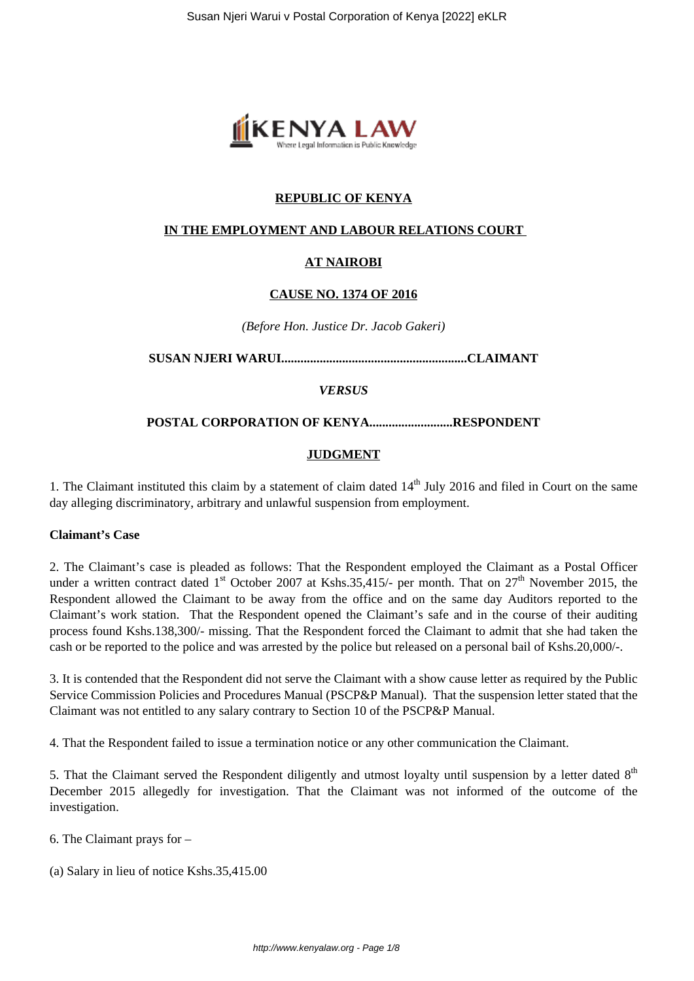

## **REPUBLIC OF KENYA**

### **IN THE EMPLOYMENT AND LABOUR RELATIONS COURT**

## **AT NAIROBI**

#### **CAUSE NO. 1374 OF 2016**

*(Before Hon. Justice Dr. Jacob Gakeri)*

**SUSAN NJERI WARUI..........................................................CLAIMANT**

#### *VERSUS*

#### **POSTAL CORPORATION OF KENYA..........................RESPONDENT**

#### **JUDGMENT**

1. The Claimant instituted this claim by a statement of claim dated  $14<sup>th</sup>$  July 2016 and filed in Court on the same day alleging discriminatory, arbitrary and unlawful suspension from employment.

#### **Claimant's Case**

2. The Claimant's case is pleaded as follows: That the Respondent employed the Claimant as a Postal Officer under a written contract dated 1<sup>st</sup> October 2007 at Kshs.35,415/- per month. That on  $27<sup>th</sup>$  November 2015, the Respondent allowed the Claimant to be away from the office and on the same day Auditors reported to the Claimant's work station. That the Respondent opened the Claimant's safe and in the course of their auditing process found Kshs.138,300/- missing. That the Respondent forced the Claimant to admit that she had taken the cash or be reported to the police and was arrested by the police but released on a personal bail of Kshs.20,000/-.

3. It is contended that the Respondent did not serve the Claimant with a show cause letter as required by the Public Service Commission Policies and Procedures Manual (PSCP&P Manual). That the suspension letter stated that the Claimant was not entitled to any salary contrary to Section 10 of the PSCP&P Manual.

4. That the Respondent failed to issue a termination notice or any other communication the Claimant.

5. That the Claimant served the Respondent diligently and utmost loyalty until suspension by a letter dated  $8<sup>th</sup>$ December 2015 allegedly for investigation. That the Claimant was not informed of the outcome of the investigation.

- 6. The Claimant prays for –
- (a) Salary in lieu of notice Kshs.35,415.00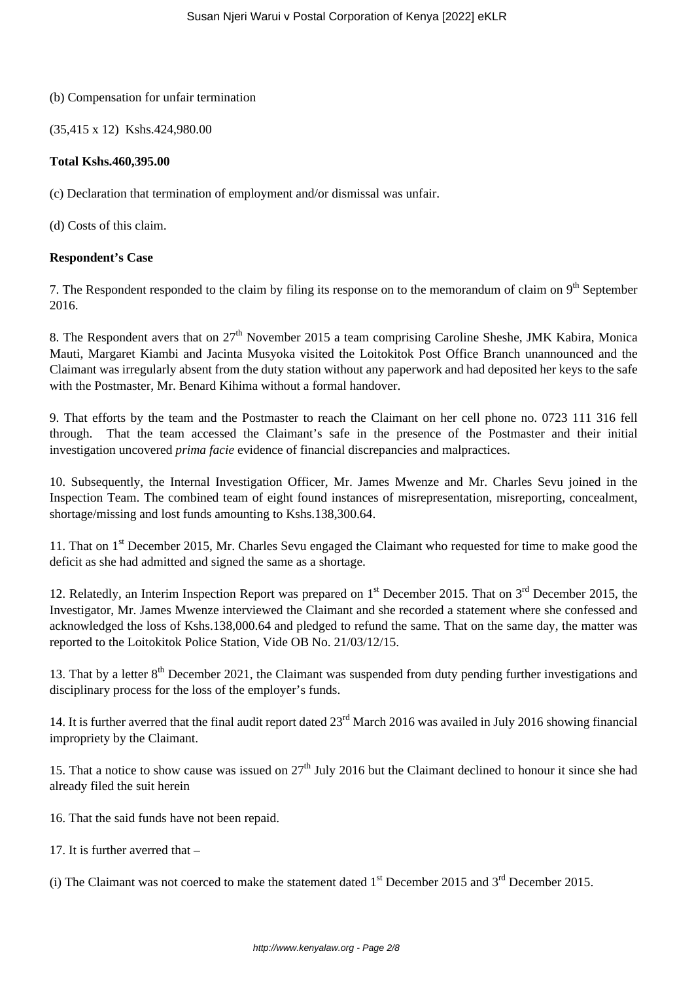### (b) Compensation for unfair termination

(35,415 x 12) Kshs.424,980.00

## **Total Kshs.460,395.00**

(c) Declaration that termination of employment and/or dismissal was unfair.

(d) Costs of this claim.

## **Respondent's Case**

7. The Respondent responded to the claim by filing its response on to the memorandum of claim on  $9<sup>th</sup>$  September 2016.

8. The Respondent avers that on  $27<sup>th</sup>$  November 2015 a team comprising Caroline Sheshe, JMK Kabira, Monica Mauti, Margaret Kiambi and Jacinta Musyoka visited the Loitokitok Post Office Branch unannounced and the Claimant was irregularly absent from the duty station without any paperwork and had deposited her keys to the safe with the Postmaster, Mr. Benard Kihima without a formal handover.

9. That efforts by the team and the Postmaster to reach the Claimant on her cell phone no. 0723 111 316 fell through. That the team accessed the Claimant's safe in the presence of the Postmaster and their initial investigation uncovered *prima facie* evidence of financial discrepancies and malpractices.

10. Subsequently, the Internal Investigation Officer, Mr. James Mwenze and Mr. Charles Sevu joined in the Inspection Team. The combined team of eight found instances of misrepresentation, misreporting, concealment, shortage/missing and lost funds amounting to Kshs.138,300.64.

11. That on 1<sup>st</sup> December 2015, Mr. Charles Sevu engaged the Claimant who requested for time to make good the deficit as she had admitted and signed the same as a shortage.

12. Relatedly, an Interim Inspection Report was prepared on 1<sup>st</sup> December 2015. That on 3<sup>rd</sup> December 2015, the Investigator, Mr. James Mwenze interviewed the Claimant and she recorded a statement where she confessed and acknowledged the loss of Kshs.138,000.64 and pledged to refund the same. That on the same day, the matter was reported to the Loitokitok Police Station, Vide OB No. 21/03/12/15.

13. That by a letter 8<sup>th</sup> December 2021, the Claimant was suspended from duty pending further investigations and disciplinary process for the loss of the employer's funds.

14. It is further averred that the final audit report dated 23<sup>rd</sup> March 2016 was availed in July 2016 showing financial impropriety by the Claimant.

15. That a notice to show cause was issued on  $27<sup>th</sup>$  July 2016 but the Claimant declined to honour it since she had already filed the suit herein

16. That the said funds have not been repaid.

17. It is further averred that –

(i) The Claimant was not coerced to make the statement dated  $1<sup>st</sup>$  December 2015 and  $3<sup>rd</sup>$  December 2015.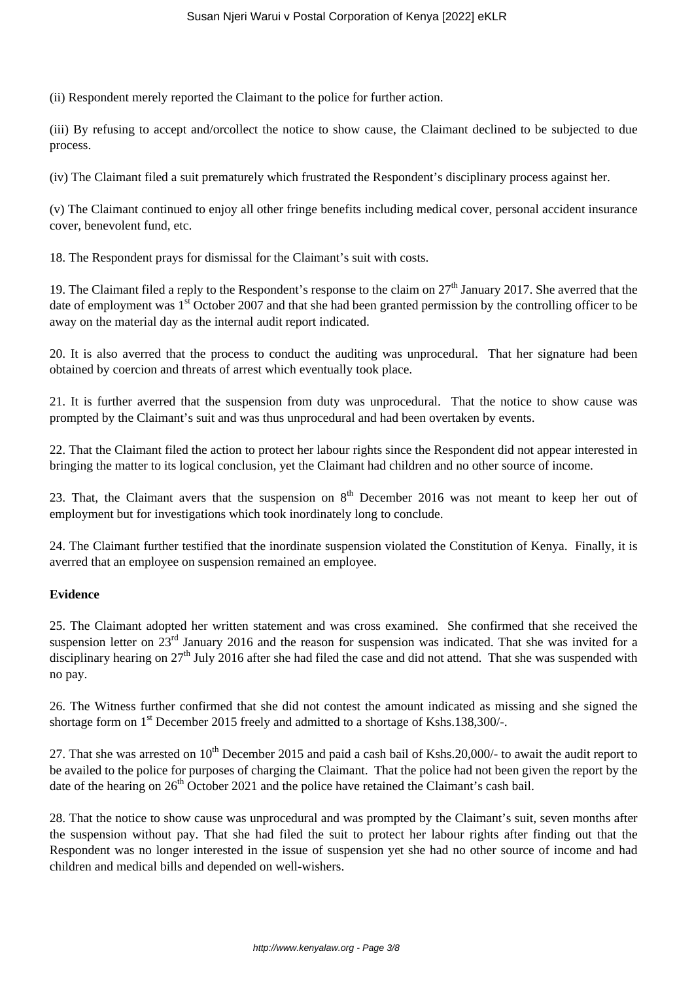(ii) Respondent merely reported the Claimant to the police for further action.

(iii) By refusing to accept and/orcollect the notice to show cause, the Claimant declined to be subjected to due process.

(iv) The Claimant filed a suit prematurely which frustrated the Respondent's disciplinary process against her.

(v) The Claimant continued to enjoy all other fringe benefits including medical cover, personal accident insurance cover, benevolent fund, etc.

18. The Respondent prays for dismissal for the Claimant's suit with costs.

19. The Claimant filed a reply to the Respondent's response to the claim on  $27<sup>th</sup>$  January 2017. She averred that the date of employment was 1<sup>st</sup> October 2007 and that she had been granted permission by the controlling officer to be away on the material day as the internal audit report indicated.

20. It is also averred that the process to conduct the auditing was unprocedural. That her signature had been obtained by coercion and threats of arrest which eventually took place.

21. It is further averred that the suspension from duty was unprocedural. That the notice to show cause was prompted by the Claimant's suit and was thus unprocedural and had been overtaken by events.

22. That the Claimant filed the action to protect her labour rights since the Respondent did not appear interested in bringing the matter to its logical conclusion, yet the Claimant had children and no other source of income.

23. That, the Claimant avers that the suspension on  $8<sup>th</sup>$  December 2016 was not meant to keep her out of employment but for investigations which took inordinately long to conclude.

24. The Claimant further testified that the inordinate suspension violated the Constitution of Kenya. Finally, it is averred that an employee on suspension remained an employee.

## **Evidence**

25. The Claimant adopted her written statement and was cross examined. She confirmed that she received the suspension letter on 23<sup>rd</sup> January 2016 and the reason for suspension was indicated. That she was invited for a disciplinary hearing on  $27<sup>th</sup>$  July 2016 after she had filed the case and did not attend. That she was suspended with no pay.

26. The Witness further confirmed that she did not contest the amount indicated as missing and she signed the shortage form on 1<sup>st</sup> December 2015 freely and admitted to a shortage of Kshs.138,300/-.

27. That she was arrested on  $10^{th}$  December 2015 and paid a cash bail of Kshs.20,000/- to await the audit report to be availed to the police for purposes of charging the Claimant. That the police had not been given the report by the date of the hearing on  $26<sup>th</sup>$  October 2021 and the police have retained the Claimant's cash bail.

28. That the notice to show cause was unprocedural and was prompted by the Claimant's suit, seven months after the suspension without pay. That she had filed the suit to protect her labour rights after finding out that the Respondent was no longer interested in the issue of suspension yet she had no other source of income and had children and medical bills and depended on well-wishers.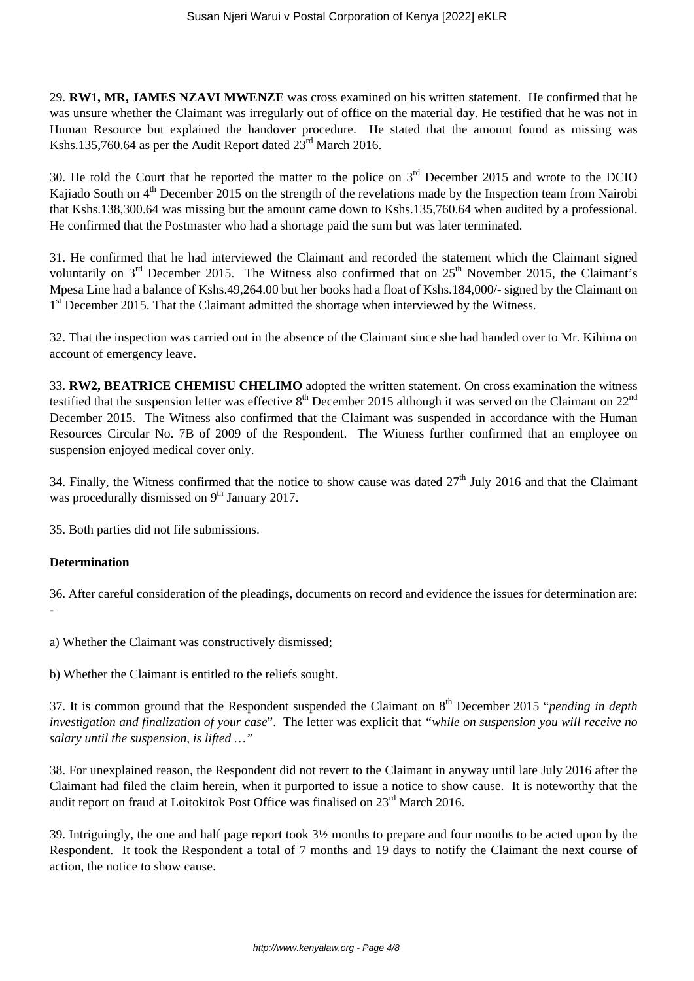29. **RW1, MR, JAMES NZAVI MWENZE** was cross examined on his written statement. He confirmed that he was unsure whether the Claimant was irregularly out of office on the material day. He testified that he was not in Human Resource but explained the handover procedure. He stated that the amount found as missing was Kshs.135,760.64 as per the Audit Report dated  $23<sup>rd</sup>$  March 2016.

30. He told the Court that he reported the matter to the police on 3rd December 2015 and wrote to the DCIO Kajiado South on 4<sup>th</sup> December 2015 on the strength of the revelations made by the Inspection team from Nairobi that Kshs.138,300.64 was missing but the amount came down to Kshs.135,760.64 when audited by a professional. He confirmed that the Postmaster who had a shortage paid the sum but was later terminated.

31. He confirmed that he had interviewed the Claimant and recorded the statement which the Claimant signed voluntarily on  $3<sup>rd</sup>$  December 2015. The Witness also confirmed that on  $25<sup>th</sup>$  November 2015, the Claimant's Mpesa Line had a balance of Kshs.49,264.00 but her books had a float of Kshs.184,000/- signed by the Claimant on 1<sup>st</sup> December 2015. That the Claimant admitted the shortage when interviewed by the Witness.

32. That the inspection was carried out in the absence of the Claimant since she had handed over to Mr. Kihima on account of emergency leave.

33. **RW2, BEATRICE CHEMISU CHELIMO** adopted the written statement. On cross examination the witness testified that the suspension letter was effective  $8<sup>th</sup>$  December 2015 although it was served on the Claimant on  $22<sup>nd</sup>$ December 2015. The Witness also confirmed that the Claimant was suspended in accordance with the Human Resources Circular No. 7B of 2009 of the Respondent. The Witness further confirmed that an employee on suspension enjoyed medical cover only.

34. Finally, the Witness confirmed that the notice to show cause was dated  $27<sup>th</sup>$  July 2016 and that the Claimant was procedurally dismissed on  $9<sup>th</sup>$  January 2017.

35. Both parties did not file submissions.

# **Determination**

36. After careful consideration of the pleadings, documents on record and evidence the issues for determination are: -

a) Whether the Claimant was constructively dismissed;

b) Whether the Claimant is entitled to the reliefs sought.

37. It is common ground that the Respondent suspended the Claimant on 8th December 2015 "*pending in depth investigation and finalization of your case*". The letter was explicit that *"while on suspension you will receive no salary until the suspension, is lifted …"*

38. For unexplained reason, the Respondent did not revert to the Claimant in anyway until late July 2016 after the Claimant had filed the claim herein, when it purported to issue a notice to show cause. It is noteworthy that the audit report on fraud at Loitokitok Post Office was finalised on 23rd March 2016.

39. Intriguingly, the one and half page report took 3½ months to prepare and four months to be acted upon by the Respondent. It took the Respondent a total of 7 months and 19 days to notify the Claimant the next course of action, the notice to show cause.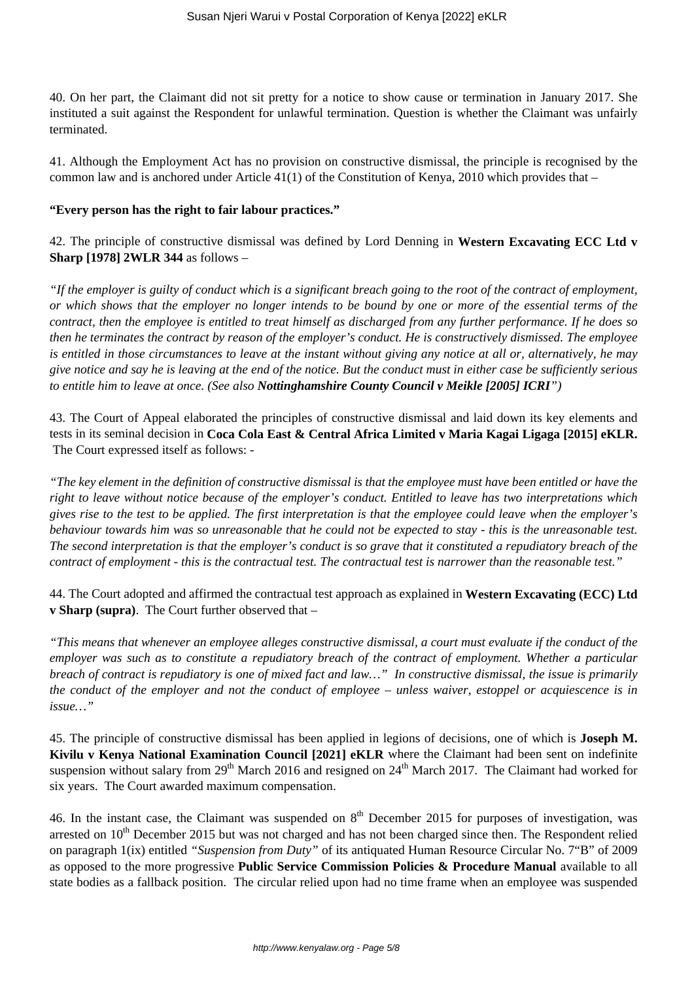40. On her part, the Claimant did not sit pretty for a notice to show cause or termination in January 2017. She instituted a suit against the Respondent for unlawful termination. Question is whether the Claimant was unfairly terminated.

41. Although the Employment Act has no provision on constructive dismissal, the principle is recognised by the common law and is anchored under Article 41(1) of the Constitution of Kenya, 2010 which provides that –

#### **"Every person has the right to fair labour practices."**

42. The principle of constructive dismissal was defined by Lord Denning in **Western Excavating ECC Ltd v Sharp [1978] 2WLR 344** as follows –

*"If the employer is guilty of conduct which is a significant breach going to the root of the contract of employment, or which shows that the employer no longer intends to be bound by one or more of the essential terms of the contract, then the employee is entitled to treat himself as discharged from any further performance. If he does so then he terminates the contract by reason of the employer's conduct. He is constructively dismissed. The employee is entitled in those circumstances to leave at the instant without giving any notice at all or, alternatively, he may give notice and say he is leaving at the end of the notice. But the conduct must in either case be sufficiently serious to entitle him to leave at once. (See also Nottinghamshire County Council v Meikle [2005] ICRI")* 

43. The Court of Appeal elaborated the principles of constructive dismissal and laid down its key elements and tests in its seminal decision in **Coca Cola East & Central Africa Limited v Maria Kagai Ligaga [2015] eKLR.** The Court expressed itself as follows: -

*"The key element in the definition of constructive dismissal is that the employee must have been entitled or have the right to leave without notice because of the employer's conduct. Entitled to leave has two interpretations which gives rise to the test to be applied. The first interpretation is that the employee could leave when the employer's behaviour towards him was so unreasonable that he could not be expected to stay - this is the unreasonable test. The second interpretation is that the employer's conduct is so grave that it constituted a repudiatory breach of the contract of employment - this is the contractual test. The contractual test is narrower than the reasonable test."*

44. The Court adopted and affirmed the contractual test approach as explained in **Western Excavating (ECC) Ltd v Sharp (supra)**. The Court further observed that –

*"This means that whenever an employee alleges constructive dismissal, a court must evaluate if the conduct of the employer was such as to constitute a repudiatory breach of the contract of employment. Whether a particular breach of contract is repudiatory is one of mixed fact and law…" In constructive dismissal, the issue is primarily the conduct of the employer and not the conduct of employee – unless waiver, estoppel or acquiescence is in issue…"*

45. The principle of constructive dismissal has been applied in legions of decisions, one of which is **Joseph M. Kivilu v Kenya National Examination Council [2021] eKLR** where the Claimant had been sent on indefinite suspension without salary from 29<sup>th</sup> March 2016 and resigned on 24<sup>th</sup> March 2017. The Claimant had worked for six years. The Court awarded maximum compensation.

46. In the instant case, the Claimant was suspended on  $8<sup>th</sup>$  December 2015 for purposes of investigation, was arrested on  $10<sup>th</sup>$  December 2015 but was not charged and has not been charged since then. The Respondent relied on paragraph 1(ix) entitled *"Suspension from Duty"* of its antiquated Human Resource Circular No. 7"B" of 2009 as opposed to the more progressive **Public Service Commission Policies & Procedure Manual** available to all state bodies as a fallback position. The circular relied upon had no time frame when an employee was suspended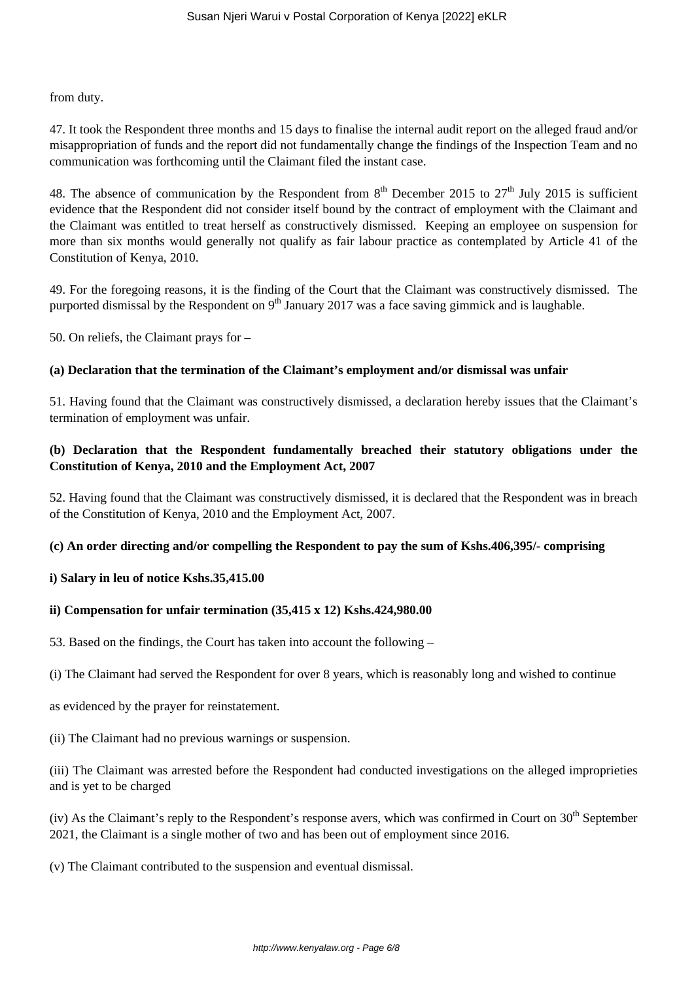from duty.

47. It took the Respondent three months and 15 days to finalise the internal audit report on the alleged fraud and/or misappropriation of funds and the report did not fundamentally change the findings of the Inspection Team and no communication was forthcoming until the Claimant filed the instant case.

48. The absence of communication by the Respondent from  $8<sup>th</sup>$  December 2015 to 27<sup>th</sup> July 2015 is sufficient evidence that the Respondent did not consider itself bound by the contract of employment with the Claimant and the Claimant was entitled to treat herself as constructively dismissed. Keeping an employee on suspension for more than six months would generally not qualify as fair labour practice as contemplated by Article 41 of the Constitution of Kenya, 2010.

49. For the foregoing reasons, it is the finding of the Court that the Claimant was constructively dismissed. The purported dismissal by the Respondent on 9<sup>th</sup> January 2017 was a face saving gimmick and is laughable.

50. On reliefs, the Claimant prays for –

## **(a) Declaration that the termination of the Claimant's employment and/or dismissal was unfair**

51. Having found that the Claimant was constructively dismissed, a declaration hereby issues that the Claimant's termination of employment was unfair.

## **(b) Declaration that the Respondent fundamentally breached their statutory obligations under the Constitution of Kenya, 2010 and the Employment Act, 2007**

52. Having found that the Claimant was constructively dismissed, it is declared that the Respondent was in breach of the Constitution of Kenya, 2010 and the Employment Act, 2007.

#### **(c) An order directing and/or compelling the Respondent to pay the sum of Kshs.406,395/- comprising**

## **i) Salary in leu of notice Kshs.35,415.00**

## **ii) Compensation for unfair termination (35,415 x 12) Kshs.424,980.00**

53. Based on the findings, the Court has taken into account the following –

(i) The Claimant had served the Respondent for over 8 years, which is reasonably long and wished to continue

as evidenced by the prayer for reinstatement.

(ii) The Claimant had no previous warnings or suspension.

(iii) The Claimant was arrested before the Respondent had conducted investigations on the alleged improprieties and is yet to be charged

(iv) As the Claimant's reply to the Respondent's response avers, which was confirmed in Court on  $30<sup>th</sup>$  September 2021, the Claimant is a single mother of two and has been out of employment since 2016.

(v) The Claimant contributed to the suspension and eventual dismissal.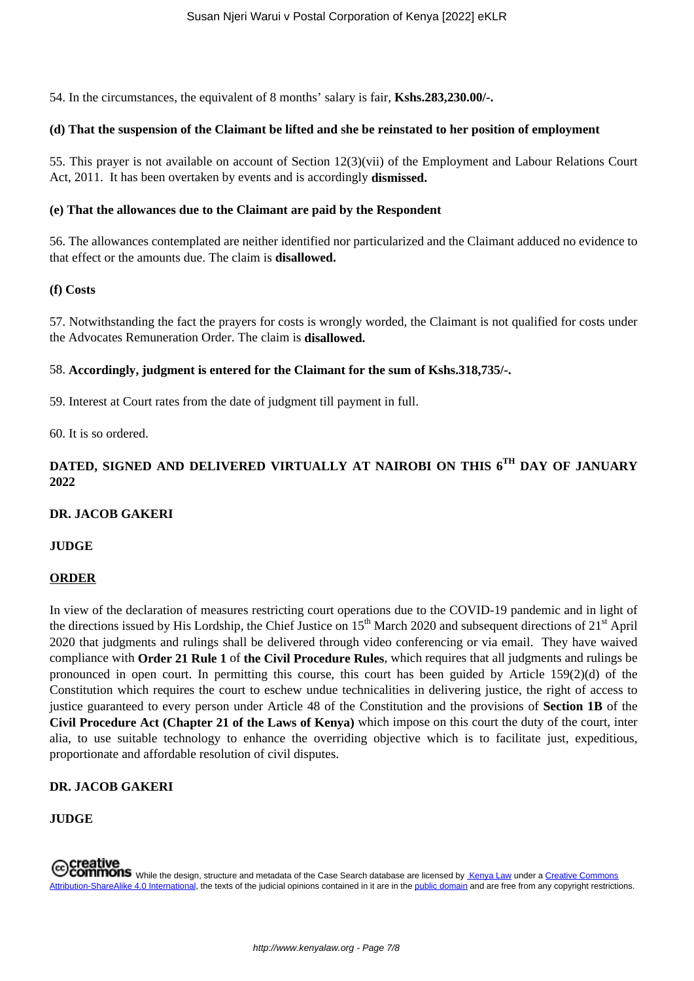54. In the circumstances, the equivalent of 8 months' salary is fair, **Kshs.283,230.00/-.**

### **(d) That the suspension of the Claimant be lifted and she be reinstated to her position of employment**

55. This prayer is not available on account of Section 12(3)(vii) of the Employment and Labour Relations Court Act, 2011. It has been overtaken by events and is accordingly **dismissed.**

### **(e) That the allowances due to the Claimant are paid by the Respondent**

56. The allowances contemplated are neither identified nor particularized and the Claimant adduced no evidence to that effect or the amounts due. The claim is **disallowed.**

#### **(f) Costs**

57. Notwithstanding the fact the prayers for costs is wrongly worded, the Claimant is not qualified for costs under the Advocates Remuneration Order. The claim is **disallowed.**

## 58. **Accordingly, judgment is entered for the Claimant for the sum of Kshs.318,735/-.**

59. Interest at Court rates from the date of judgment till payment in full.

60. It is so ordered.

# **DATED, SIGNED AND DELIVERED VIRTUALLY AT NAIROBI ON THIS 6TH DAY OF JANUARY 2022**

#### **DR. JACOB GAKERI**

#### **JUDGE**

#### **ORDER**

In view of the declaration of measures restricting court operations due to the COVID-19 pandemic and in light of the directions issued by His Lordship, the Chief Justice on  $15<sup>th</sup>$  March 2020 and subsequent directions of  $21<sup>st</sup>$  April 2020 that judgments and rulings shall be delivered through video conferencing or via email. They have waived compliance with **Order 21 Rule 1** of **the Civil Procedure Rules**, which requires that all judgments and rulings be pronounced in open court. In permitting this course, this court has been guided by Article 159(2)(d) of the Constitution which requires the court to eschew undue technicalities in delivering justice, the right of access to justice guaranteed to every person under Article 48 of the Constitution and the provisions of **Section 1B** of the **Civil Procedure Act (Chapter 21 of the Laws of Kenya)** which impose on this court the duty of the court, inter alia, to use suitable technology to enhance the overriding objective which is to facilitate just, expeditious, proportionate and affordable resolution of civil disputes.

## **DR. JACOB GAKERI**

## **JUDGE**

COMMONS While the design, structure and metadata of the Case Search database are licensed by Kenya Law under a Creative Commons Attribution-ShareAlike 4.0 International, the texts of the judicial opinions contained in it are in the public domain and are free from any copyright restrictions.